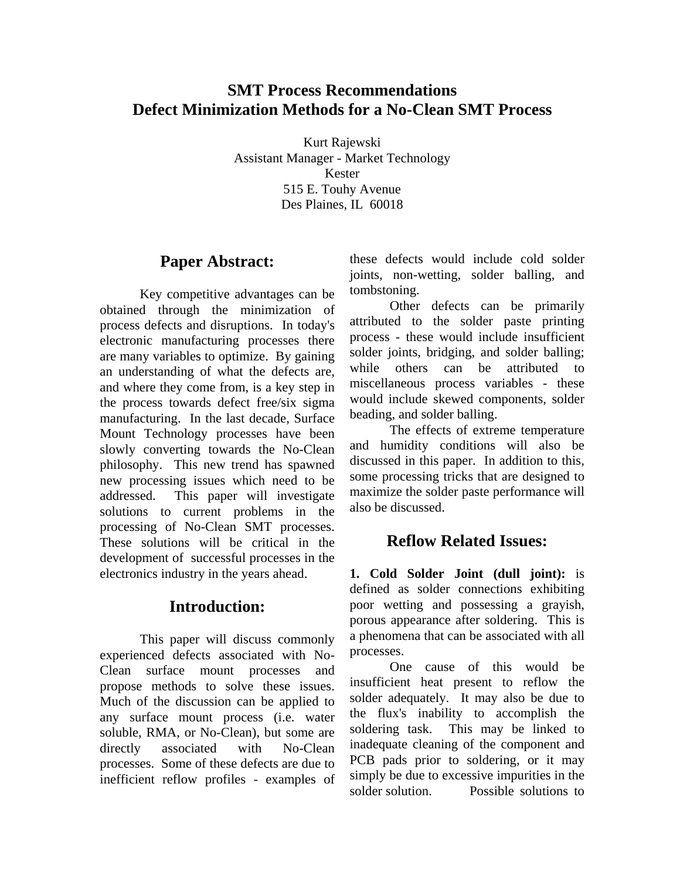## **SMT Process Recommendations Defect Minimization Methods for a No-Clean SMT Process**

Kurt Rajewski Assistant Manager - Market Technology Kester 515 E. Touhy Avenue Des Plaines, IL 60018

#### **Paper Abstract:**

 Key competitive advantages can be obtained through the minimization of process defects and disruptions. In today's electronic manufacturing processes there are many variables to optimize. By gaining an understanding of what the defects are, and where they come from, is a key step in the process towards defect free/six sigma manufacturing. In the last decade, Surface Mount Technology processes have been slowly converting towards the No-Clean philosophy. This new trend has spawned new processing issues which need to be addressed. This paper will investigate solutions to current problems in the processing of No-Clean SMT processes. These solutions will be critical in the development of successful processes in the electronics industry in the years ahead.

## **Introduction:**

 This paper will discuss commonly experienced defects associated with No-Clean surface mount processes and propose methods to solve these issues. Much of the discussion can be applied to any surface mount process (i.e. water soluble, RMA, or No-Clean), but some are directly associated with No-Clean processes. Some of these defects are due to inefficient reflow profiles - examples of these defects would include cold solder joints, non-wetting, solder balling, and tombstoning.

 Other defects can be primarily attributed to the solder paste printing process - these would include insufficient solder joints, bridging, and solder balling; while others can be attributed to miscellaneous process variables - these would include skewed components, solder beading, and solder balling.

 The effects of extreme temperature and humidity conditions will also be discussed in this paper. In addition to this, some processing tricks that are designed to maximize the solder paste performance will also be discussed.

## **Reflow Related Issues:**

**1. Cold Solder Joint (dull joint):** is defined as solder connections exhibiting poor wetting and possessing a grayish, porous appearance after soldering. This is a phenomena that can be associated with all processes.

 One cause of this would be insufficient heat present to reflow the solder adequately. It may also be due to the flux's inability to accomplish the soldering task. This may be linked to inadequate cleaning of the component and PCB pads prior to soldering, or it may simply be due to excessive impurities in the solder solution. Possible solutions to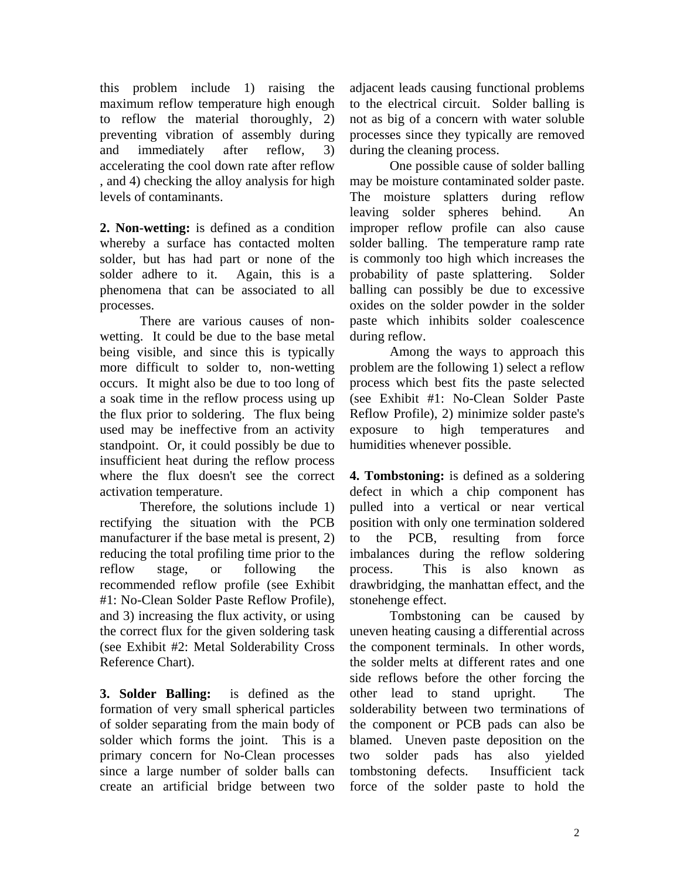this problem include 1) raising the maximum reflow temperature high enough to reflow the material thoroughly, 2) preventing vibration of assembly during and immediately after reflow, 3) accelerating the cool down rate after reflow , and 4) checking the alloy analysis for high levels of contaminants.

**2. Non-wetting:** is defined as a condition whereby a surface has contacted molten solder, but has had part or none of the solder adhere to it. Again, this is a phenomena that can be associated to all processes.

 There are various causes of nonwetting. It could be due to the base metal being visible, and since this is typically more difficult to solder to, non-wetting occurs. It might also be due to too long of a soak time in the reflow process using up the flux prior to soldering. The flux being used may be ineffective from an activity standpoint. Or, it could possibly be due to insufficient heat during the reflow process where the flux doesn't see the correct activation temperature.

 Therefore, the solutions include 1) rectifying the situation with the PCB manufacturer if the base metal is present, 2) reducing the total profiling time prior to the reflow stage, or following the recommended reflow profile (see Exhibit #1: No-Clean Solder Paste Reflow Profile), and 3) increasing the flux activity, or using the correct flux for the given soldering task (see Exhibit #2: Metal Solderability Cross Reference Chart).

**3. Solder Balling:** is defined as the formation of very small spherical particles of solder separating from the main body of solder which forms the joint. This is a primary concern for No-Clean processes since a large number of solder balls can create an artificial bridge between two adjacent leads causing functional problems to the electrical circuit. Solder balling is not as big of a concern with water soluble processes since they typically are removed during the cleaning process.

 One possible cause of solder balling may be moisture contaminated solder paste. The moisture splatters during reflow leaving solder spheres behind. An improper reflow profile can also cause solder balling. The temperature ramp rate is commonly too high which increases the probability of paste splattering. Solder balling can possibly be due to excessive oxides on the solder powder in the solder paste which inhibits solder coalescence during reflow.

 Among the ways to approach this problem are the following 1) select a reflow process which best fits the paste selected (see Exhibit #1: No-Clean Solder Paste Reflow Profile), 2) minimize solder paste's exposure to high temperatures and humidities whenever possible.

**4. Tombstoning:** is defined as a soldering defect in which a chip component has pulled into a vertical or near vertical position with only one termination soldered to the PCB, resulting from force imbalances during the reflow soldering process. This is also known as drawbridging, the manhattan effect, and the stonehenge effect.

 Tombstoning can be caused by uneven heating causing a differential across the component terminals. In other words, the solder melts at different rates and one side reflows before the other forcing the other lead to stand upright. The solderability between two terminations of the component or PCB pads can also be blamed. Uneven paste deposition on the two solder pads has also yielded tombstoning defects. Insufficient tack force of the solder paste to hold the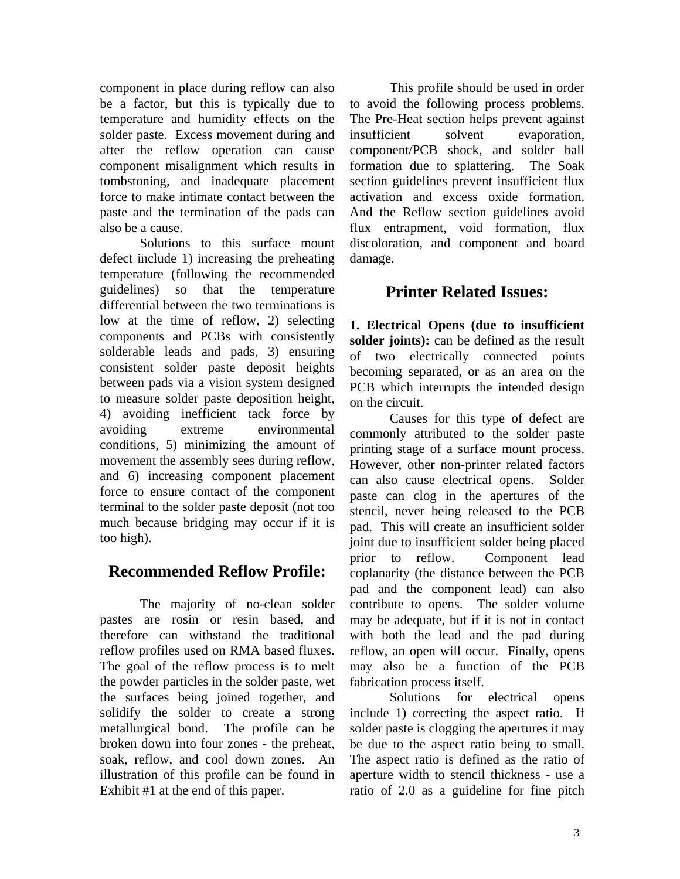component in place during reflow can also be a factor, but this is typically due to temperature and humidity effects on the solder paste. Excess movement during and after the reflow operation can cause component misalignment which results in tombstoning, and inadequate placement force to make intimate contact between the paste and the termination of the pads can also be a cause.

 Solutions to this surface mount defect include 1) increasing the preheating temperature (following the recommended guidelines) so that the temperature differential between the two terminations is low at the time of reflow, 2) selecting components and PCBs with consistently solderable leads and pads, 3) ensuring consistent solder paste deposit heights between pads via a vision system designed to measure solder paste deposition height, 4) avoiding inefficient tack force by avoiding extreme environmental conditions, 5) minimizing the amount of movement the assembly sees during reflow, and 6) increasing component placement force to ensure contact of the component terminal to the solder paste deposit (not too much because bridging may occur if it is too high).

## **Recommended Reflow Profile:**

 The majority of no-clean solder pastes are rosin or resin based, and therefore can withstand the traditional reflow profiles used on RMA based fluxes. The goal of the reflow process is to melt the powder particles in the solder paste, wet the surfaces being joined together, and solidify the solder to create a strong metallurgical bond. The profile can be broken down into four zones - the preheat, soak, reflow, and cool down zones. An illustration of this profile can be found in Exhibit #1 at the end of this paper.

 This profile should be used in order to avoid the following process problems. The Pre-Heat section helps prevent against insufficient solvent evaporation, component/PCB shock, and solder ball formation due to splattering. The Soak section guidelines prevent insufficient flux activation and excess oxide formation. And the Reflow section guidelines avoid flux entrapment, void formation, flux discoloration, and component and board damage.

## **Printer Related Issues:**

**1. Electrical Opens (due to insufficient solder joints):** can be defined as the result of two electrically connected points becoming separated, or as an area on the PCB which interrupts the intended design on the circuit.

 Causes for this type of defect are commonly attributed to the solder paste printing stage of a surface mount process. However, other non-printer related factors can also cause electrical opens. Solder paste can clog in the apertures of the stencil, never being released to the PCB pad. This will create an insufficient solder joint due to insufficient solder being placed prior to reflow. Component lead coplanarity (the distance between the PCB pad and the component lead) can also contribute to opens. The solder volume may be adequate, but if it is not in contact with both the lead and the pad during reflow, an open will occur. Finally, opens may also be a function of the PCB fabrication process itself.

 Solutions for electrical opens include 1) correcting the aspect ratio. If solder paste is clogging the apertures it may be due to the aspect ratio being to small. The aspect ratio is defined as the ratio of aperture width to stencil thickness - use a ratio of 2.0 as a guideline for fine pitch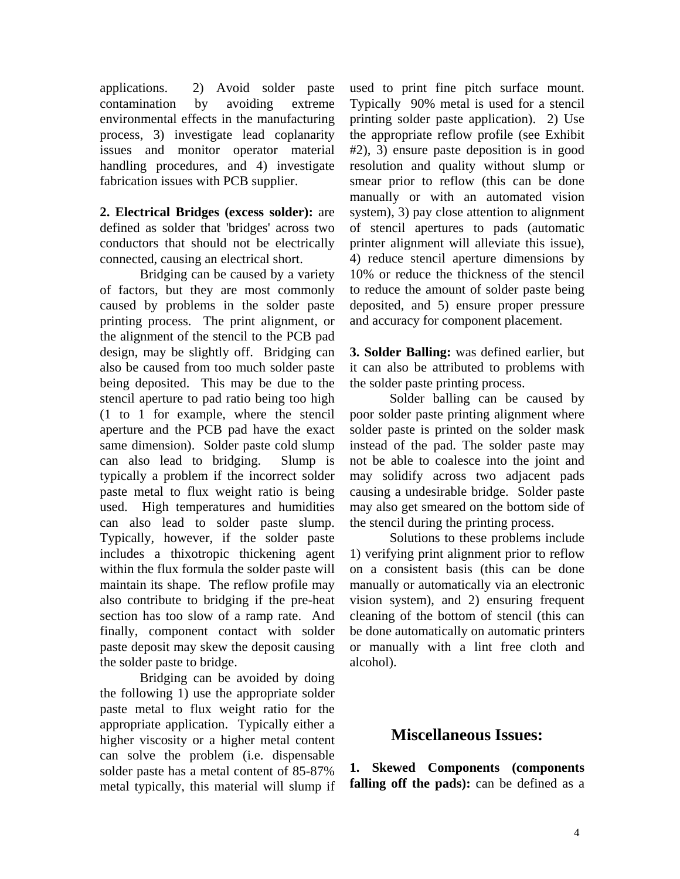applications. 2) Avoid solder paste contamination by avoiding extreme environmental effects in the manufacturing process, 3) investigate lead coplanarity issues and monitor operator material handling procedures, and 4) investigate fabrication issues with PCB supplier.

**2. Electrical Bridges (excess solder):** are defined as solder that 'bridges' across two conductors that should not be electrically connected, causing an electrical short.

 Bridging can be caused by a variety of factors, but they are most commonly caused by problems in the solder paste printing process. The print alignment, or the alignment of the stencil to the PCB pad design, may be slightly off. Bridging can also be caused from too much solder paste being deposited. This may be due to the stencil aperture to pad ratio being too high (1 to 1 for example, where the stencil aperture and the PCB pad have the exact same dimension). Solder paste cold slump can also lead to bridging. Slump is typically a problem if the incorrect solder paste metal to flux weight ratio is being used. High temperatures and humidities can also lead to solder paste slump. Typically, however, if the solder paste includes a thixotropic thickening agent within the flux formula the solder paste will maintain its shape. The reflow profile may also contribute to bridging if the pre-heat section has too slow of a ramp rate. And finally, component contact with solder paste deposit may skew the deposit causing the solder paste to bridge.

 Bridging can be avoided by doing the following 1) use the appropriate solder paste metal to flux weight ratio for the appropriate application. Typically either a higher viscosity or a higher metal content can solve the problem (i.e. dispensable solder paste has a metal content of 85-87% metal typically, this material will slump if used to print fine pitch surface mount. Typically 90% metal is used for a stencil printing solder paste application). 2) Use the appropriate reflow profile (see Exhibit #2), 3) ensure paste deposition is in good resolution and quality without slump or smear prior to reflow (this can be done manually or with an automated vision system), 3) pay close attention to alignment of stencil apertures to pads (automatic printer alignment will alleviate this issue), 4) reduce stencil aperture dimensions by 10% or reduce the thickness of the stencil to reduce the amount of solder paste being deposited, and 5) ensure proper pressure and accuracy for component placement.

**3. Solder Balling:** was defined earlier, but it can also be attributed to problems with the solder paste printing process.

 Solder balling can be caused by poor solder paste printing alignment where solder paste is printed on the solder mask instead of the pad. The solder paste may not be able to coalesce into the joint and may solidify across two adjacent pads causing a undesirable bridge. Solder paste may also get smeared on the bottom side of the stencil during the printing process.

 Solutions to these problems include 1) verifying print alignment prior to reflow on a consistent basis (this can be done manually or automatically via an electronic vision system), and 2) ensuring frequent cleaning of the bottom of stencil (this can be done automatically on automatic printers or manually with a lint free cloth and alcohol).

## **Miscellaneous Issues:**

**1. Skewed Components (components falling off the pads):** can be defined as a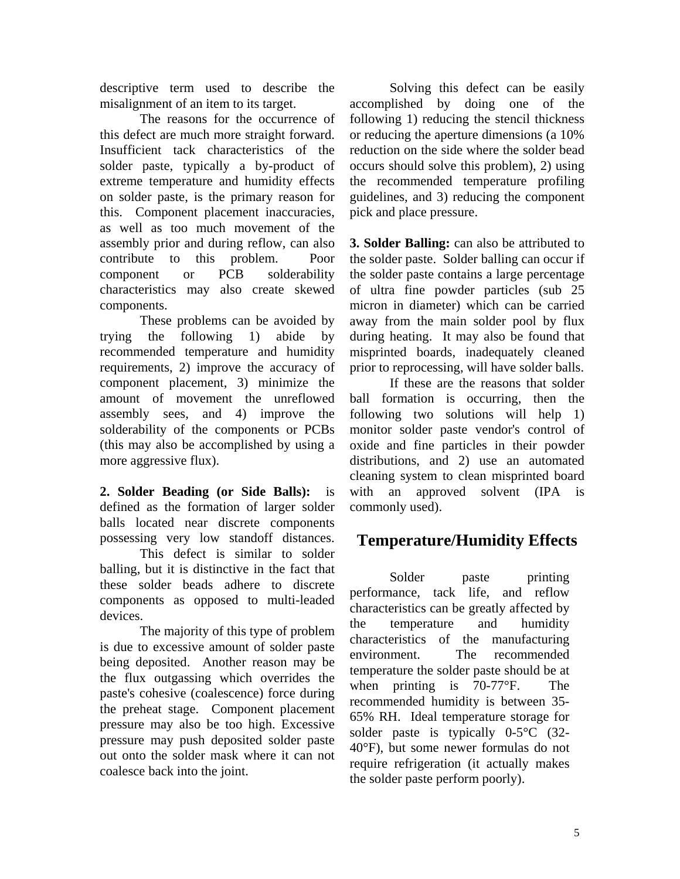descriptive term used to describe the misalignment of an item to its target.

 The reasons for the occurrence of this defect are much more straight forward. Insufficient tack characteristics of the solder paste, typically a by-product of extreme temperature and humidity effects on solder paste, is the primary reason for this. Component placement inaccuracies, as well as too much movement of the assembly prior and during reflow, can also contribute to this problem. Poor component or PCB solderability characteristics may also create skewed components.

 These problems can be avoided by trying the following 1) abide by recommended temperature and humidity requirements, 2) improve the accuracy of component placement, 3) minimize the amount of movement the unreflowed assembly sees, and 4) improve the solderability of the components or PCBs (this may also be accomplished by using a more aggressive flux).

**2. Solder Beading (or Side Balls):** is defined as the formation of larger solder balls located near discrete components possessing very low standoff distances.

 This defect is similar to solder balling, but it is distinctive in the fact that these solder beads adhere to discrete components as opposed to multi-leaded devices.

 The majority of this type of problem is due to excessive amount of solder paste being deposited. Another reason may be the flux outgassing which overrides the paste's cohesive (coalescence) force during the preheat stage. Component placement pressure may also be too high. Excessive pressure may push deposited solder paste out onto the solder mask where it can not coalesce back into the joint.

 Solving this defect can be easily accomplished by doing one of the following 1) reducing the stencil thickness or reducing the aperture dimensions (a 10% reduction on the side where the solder bead occurs should solve this problem), 2) using the recommended temperature profiling guidelines, and 3) reducing the component pick and place pressure.

**3. Solder Balling:** can also be attributed to the solder paste. Solder balling can occur if the solder paste contains a large percentage of ultra fine powder particles (sub 25 micron in diameter) which can be carried away from the main solder pool by flux during heating. It may also be found that misprinted boards, inadequately cleaned prior to reprocessing, will have solder balls.

 If these are the reasons that solder ball formation is occurring, then the following two solutions will help 1) monitor solder paste vendor's control of oxide and fine particles in their powder distributions, and 2) use an automated cleaning system to clean misprinted board with an approved solvent (IPA is commonly used).

# **Temperature/Humidity Effects**

Solder paste printing performance, tack life, and reflow characteristics can be greatly affected by the temperature and humidity characteristics of the manufacturing environment. The recommended temperature the solder paste should be at when printing is 70-77°F. The recommended humidity is between 35- 65% RH. Ideal temperature storage for solder paste is typically 0-5°C (32- 40°F), but some newer formulas do not require refrigeration (it actually makes the solder paste perform poorly).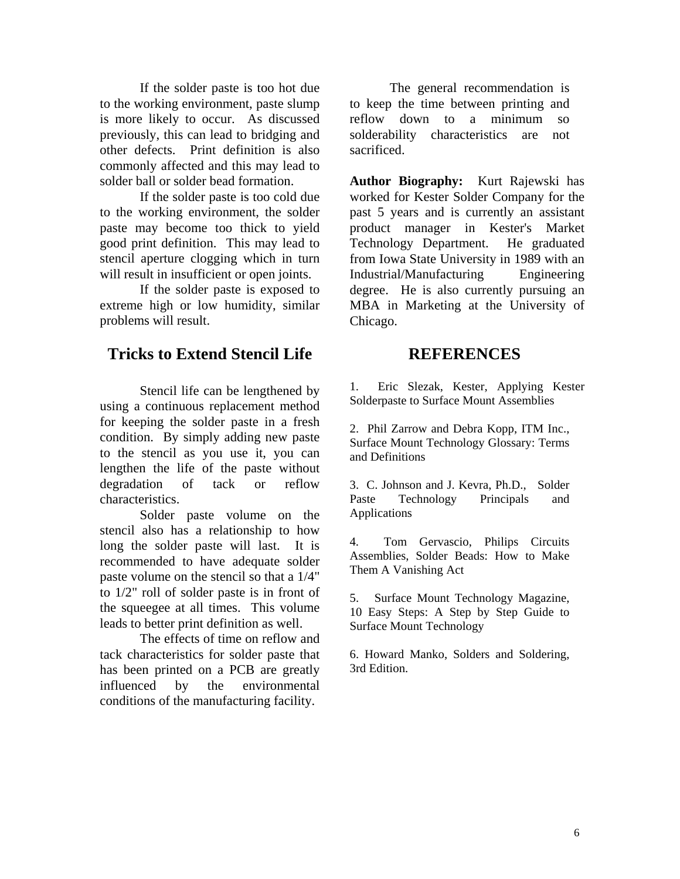If the solder paste is too hot due to the working environment, paste slump is more likely to occur. As discussed previously, this can lead to bridging and other defects. Print definition is also commonly affected and this may lead to solder ball or solder bead formation.

 If the solder paste is too cold due to the working environment, the solder paste may become too thick to yield good print definition. This may lead to stencil aperture clogging which in turn will result in insufficient or open joints.

 If the solder paste is exposed to extreme high or low humidity, similar problems will result.

## **Tricks to Extend Stencil Life**

 Stencil life can be lengthened by using a continuous replacement method for keeping the solder paste in a fresh condition. By simply adding new paste to the stencil as you use it, you can lengthen the life of the paste without degradation of tack or reflow characteristics.

 Solder paste volume on the stencil also has a relationship to how long the solder paste will last. It is recommended to have adequate solder paste volume on the stencil so that a 1/4" to 1/2" roll of solder paste is in front of the squeegee at all times. This volume leads to better print definition as well.

 The effects of time on reflow and tack characteristics for solder paste that has been printed on a PCB are greatly influenced by the environmental conditions of the manufacturing facility.

 The general recommendation is to keep the time between printing and reflow down to a minimum so solderability characteristics are not sacrificed.

**Author Biography:** Kurt Rajewski has worked for Kester Solder Company for the past 5 years and is currently an assistant product manager in Kester's Market Technology Department. He graduated from Iowa State University in 1989 with an Industrial/Manufacturing Engineering degree. He is also currently pursuing an MBA in Marketing at the University of Chicago.

#### **REFERENCES**

1. Eric Slezak, Kester, Applying Kester Solderpaste to Surface Mount Assemblies

2. Phil Zarrow and Debra Kopp, ITM Inc., Surface Mount Technology Glossary: Terms and Definitions

3. C. Johnson and J. Kevra, Ph.D., Solder Paste Technology Principals and Applications

4. Tom Gervascio, Philips Circuits Assemblies, Solder Beads: How to Make Them A Vanishing Act

5. Surface Mount Technology Magazine, 10 Easy Steps: A Step by Step Guide to Surface Mount Technology

6. Howard Manko, Solders and Soldering, 3rd Edition.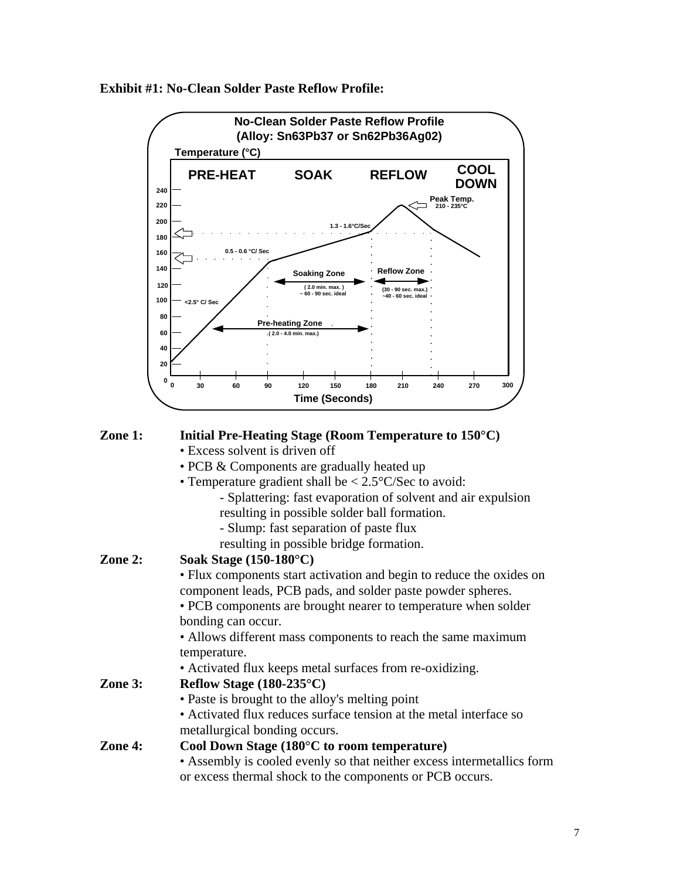**Exhibit #1: No-Clean Solder Paste Reflow Profile:**



#### **Zone 1: Initial Pre-Heating Stage (Room Temperature to 150°C)**

- Excess solvent is driven off
- PCB & Components are gradually heated up
- Temperature gradient shall be < 2.5°C/Sec to avoid:
	- Splattering: fast evaporation of solvent and air expulsion
	- resulting in possible solder ball formation.
	- Slump: fast separation of paste flux
	- resulting in possible bridge formation.

#### **Zone 2: Soak Stage (150-180°C)**

 • Flux components start activation and begin to reduce the oxides on component leads, PCB pads, and solder paste powder spheres.

 • PCB components are brought nearer to temperature when solder bonding can occur.

 • Allows different mass components to reach the same maximum temperature.

• Activated flux keeps metal surfaces from re-oxidizing.

#### **Zone 3: Reflow Stage (180-235°C)**

- Paste is brought to the alloy's melting point
- Activated flux reduces surface tension at the metal interface so metallurgical bonding occurs.

#### **Zone 4: Cool Down Stage (180°C to room temperature)**

 • Assembly is cooled evenly so that neither excess intermetallics form or excess thermal shock to the components or PCB occurs.